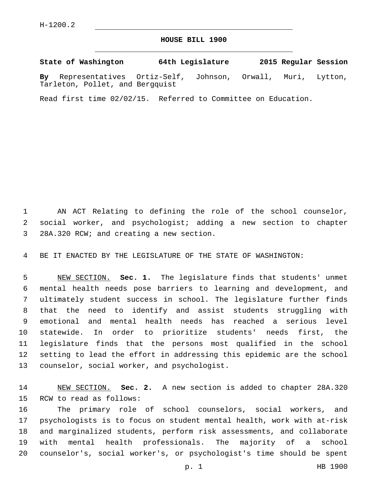## **HOUSE BILL 1900**

**State of Washington 64th Legislature 2015 Regular Session By** Representatives Ortiz-Self, Johnson, Orwall, Muri, Lytton, Tarleton, Pollet, and Bergquist

Read first time 02/02/15. Referred to Committee on Education.

 AN ACT Relating to defining the role of the school counselor, social worker, and psychologist; adding a new section to chapter 3 28A.320 RCW; and creating a new section.

BE IT ENACTED BY THE LEGISLATURE OF THE STATE OF WASHINGTON:

 NEW SECTION. **Sec. 1.** The legislature finds that students' unmet mental health needs pose barriers to learning and development, and ultimately student success in school. The legislature further finds that the need to identify and assist students struggling with emotional and mental health needs has reached a serious level statewide. In order to prioritize students' needs first, the legislature finds that the persons most qualified in the school setting to lead the effort in addressing this epidemic are the school counselor, social worker, and psychologist.

 NEW SECTION. **Sec. 2.** A new section is added to chapter 28A.320 15 RCW to read as follows:

 The primary role of school counselors, social workers, and psychologists is to focus on student mental health, work with at-risk and marginalized students, perform risk assessments, and collaborate with mental health professionals. The majority of a school counselor's, social worker's, or psychologist's time should be spent